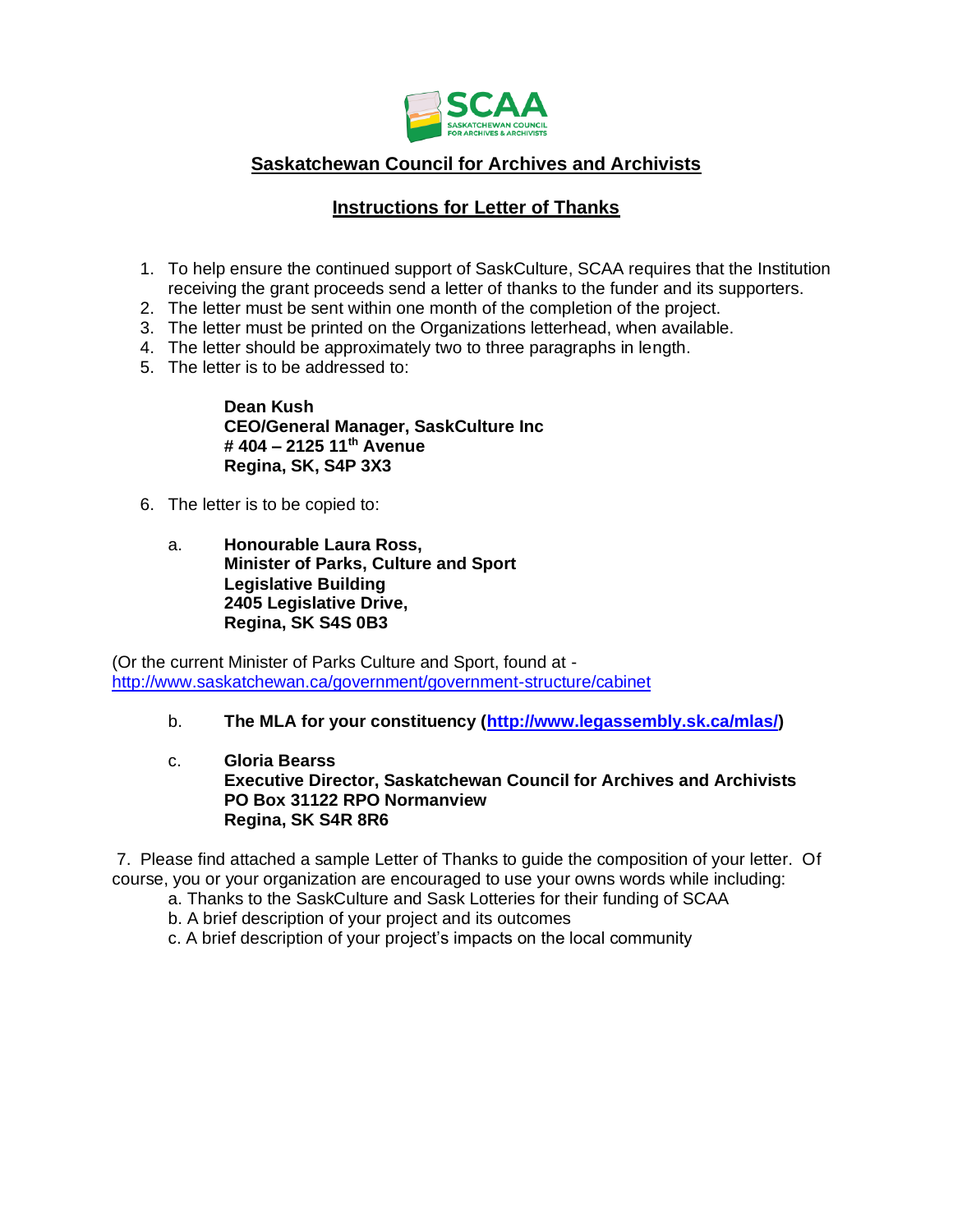

## **Saskatchewan Council for Archives and Archivists**

## **Instructions for Letter of Thanks**

- 1. To help ensure the continued support of SaskCulture, SCAA requires that the Institution receiving the grant proceeds send a letter of thanks to the funder and its supporters.
- 2. The letter must be sent within one month of the completion of the project.
- 3. The letter must be printed on the Organizations letterhead, when available.
- 4. The letter should be approximately two to three paragraphs in length.
- 5. The letter is to be addressed to:

**Dean Kush CEO/General Manager, SaskCulture Inc # 404 – 2125 11th Avenue Regina, SK, S4P 3X3**

- 6. The letter is to be copied to:
	- a. **Honourable Laura Ross, Minister of Parks, Culture and Sport Legislative Building 2405 Legislative Drive, Regina, SK S4S 0B3**

(Or the current Minister of Parks Culture and Sport, found at <http://www.saskatchewan.ca/government/government-structure/cabinet>

- b. **The MLA for your constituency [\(http://www.legassembly.sk.ca/mlas/\)](http://www.legassembly.sk.ca/mlas/)**
- c. **Gloria Bearss Executive Director, Saskatchewan Council for Archives and Archivists PO Box 31122 RPO Normanview Regina, SK S4R 8R6**

7. Please find attached a sample Letter of Thanks to guide the composition of your letter. Of course, you or your organization are encouraged to use your owns words while including:

- a. Thanks to the SaskCulture and Sask Lotteries for their funding of SCAA
- b. A brief description of your project and its outcomes
- c. A brief description of your project's impacts on the local community